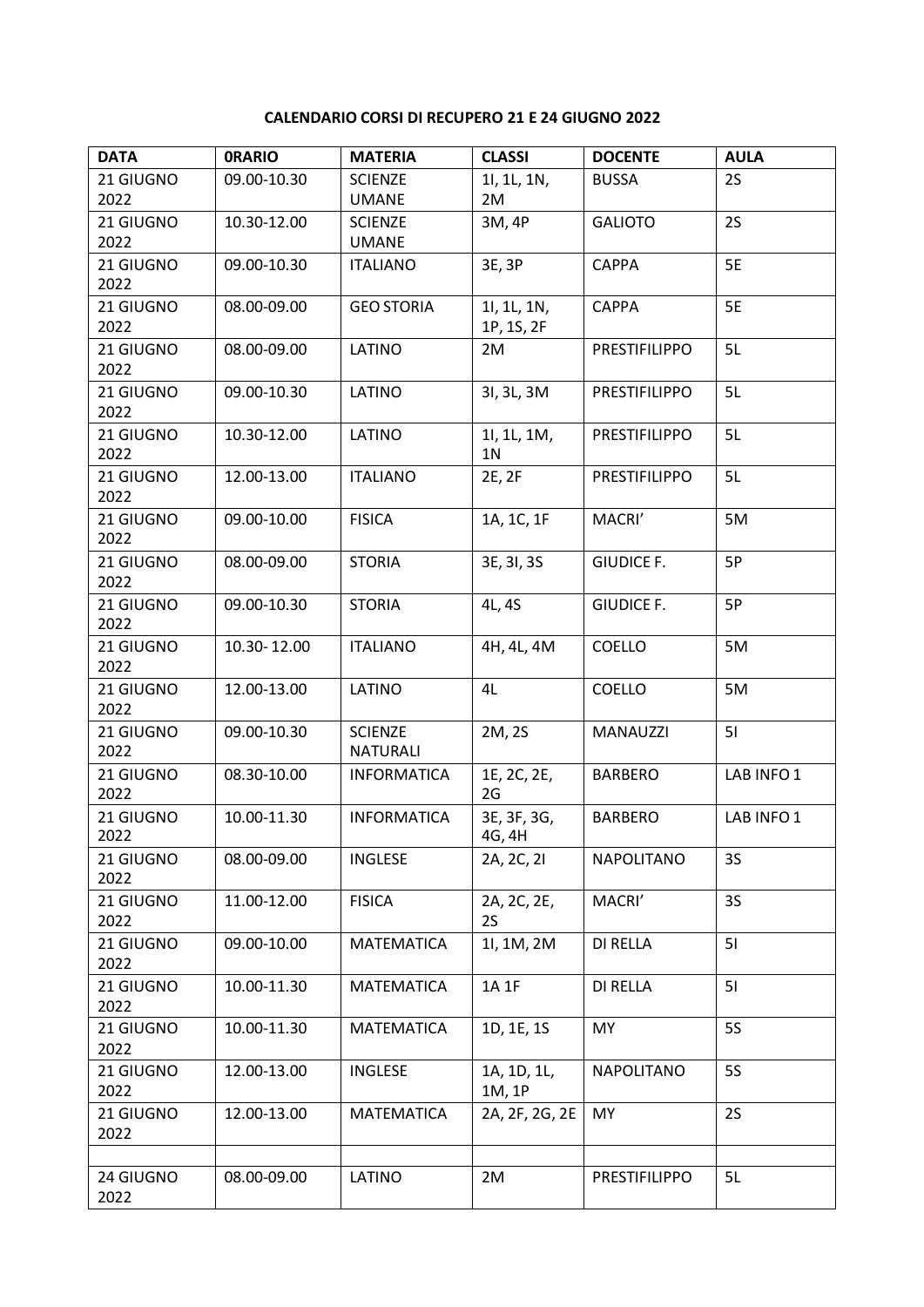## **CALENDARIO CORSI DI RECUPERO 21 E 24 GIUGNO 2022**

| <b>DATA</b> | <b>ORARIO</b> | <b>MATERIA</b>     | <b>CLASSI</b>  | <b>DOCENTE</b>       | <b>AULA</b> |
|-------------|---------------|--------------------|----------------|----------------------|-------------|
| 21 GIUGNO   | 09.00-10.30   | <b>SCIENZE</b>     | 11, 1L, 1N,    | <b>BUSSA</b>         | 2S          |
| 2022        |               | <b>UMANE</b>       | 2M             |                      |             |
| 21 GIUGNO   | 10.30-12.00   | <b>SCIENZE</b>     | 3M, 4P         | <b>GALIOTO</b>       | 2S          |
| 2022        |               | <b>UMANE</b>       |                |                      |             |
| 21 GIUGNO   | 09.00-10.30   | <b>ITALIANO</b>    | 3E, 3P         | <b>CAPPA</b>         | 5E          |
| 2022        |               |                    |                |                      |             |
| 21 GIUGNO   | 08.00-09.00   | <b>GEO STORIA</b>  | 11, 1L, 1N,    | <b>CAPPA</b>         | 5E          |
| 2022        |               |                    | 1P, 1S, 2F     |                      |             |
| 21 GIUGNO   | 08.00-09.00   | LATINO             | 2M             | <b>PRESTIFILIPPO</b> | 5L          |
| 2022        |               |                    |                |                      |             |
| 21 GIUGNO   | 09.00-10.30   | LATINO             | 31, 3L, 3M     | PRESTIFILIPPO        | 5L          |
| 2022        |               |                    |                |                      |             |
| 21 GIUGNO   | 10.30-12.00   | LATINO             | 11, 1L, 1M,    | PRESTIFILIPPO        | 5L          |
| 2022        |               |                    | 1 <sub>N</sub> |                      |             |
| 21 GIUGNO   | 12.00-13.00   | <b>ITALIANO</b>    | 2E, 2F         | PRESTIFILIPPO        | 5L          |
| 2022        |               |                    |                |                      |             |
| 21 GIUGNO   | 09.00-10.00   | <b>FISICA</b>      | 1A, 1C, 1F     | MACRI'               | 5M          |
| 2022        |               |                    |                |                      |             |
| 21 GIUGNO   | 08.00-09.00   | <b>STORIA</b>      | 3E, 3I, 3S     | <b>GIUDICE F.</b>    | 5P          |
| 2022        |               |                    |                |                      |             |
| 21 GIUGNO   | 09.00-10.30   | <b>STORIA</b>      | 4L, 4S         | <b>GIUDICE F.</b>    | 5P          |
| 2022        |               |                    |                |                      |             |
| 21 GIUGNO   | 10.30-12.00   | <b>ITALIANO</b>    | 4H, 4L, 4M     | COELLO               | 5M          |
| 2022        |               |                    |                |                      |             |
| 21 GIUGNO   | 12.00-13.00   | LATINO             | 4L             | <b>COELLO</b>        | 5M          |
| 2022        |               |                    |                |                      |             |
| 21 GIUGNO   | 09.00-10.30   | <b>SCIENZE</b>     | 2M, 2S         | MANAUZZI             | 51          |
| 2022        |               | <b>NATURALI</b>    |                |                      |             |
| 21 GIUGNO   | 08.30-10.00   | <b>INFORMATICA</b> | 1E, 2C, 2E,    | <b>BARBERO</b>       | LAB INFO1   |
| 2022        |               |                    | 2G             |                      |             |
| 21 GIUGNO   | 10.00-11.30   | <b>INFORMATICA</b> | 3E, 3F, 3G,    | <b>BARBERO</b>       | LAB INFO1   |
| 2022        |               |                    | 4G, 4H         |                      |             |
| 21 GIUGNO   | 08.00-09.00   | <b>INGLESE</b>     | 2A, 2C, 2I     | NAPOLITANO           | 3S          |
| 2022        |               |                    |                |                      |             |
| 21 GIUGNO   | 11.00-12.00   | <b>FISICA</b>      | 2A, 2C, 2E,    | MACRI'               | 3S          |
| 2022        |               |                    | 2S             |                      |             |
| 21 GIUGNO   | 09.00-10.00   | MATEMATICA         | 11, 1M, 2M     | <b>DI RELLA</b>      | 51          |
| 2022        |               |                    |                |                      |             |
| 21 GIUGNO   | 10.00-11.30   | MATEMATICA         | 1A 1F          | DI RELLA             | 51          |
| 2022        |               |                    |                |                      |             |
| 21 GIUGNO   | 10.00-11.30   | MATEMATICA         | 1D, 1E, 1S     | <b>MY</b>            | <b>5S</b>   |
| 2022        |               |                    |                |                      |             |
| 21 GIUGNO   | 12.00-13.00   | <b>INGLESE</b>     | 1A, 1D, 1L,    | <b>NAPOLITANO</b>    | <b>5S</b>   |
| 2022        |               |                    | 1M, 1P         |                      |             |
| 21 GIUGNO   | 12.00-13.00   | MATEMATICA         | 2A, 2F, 2G, 2E | <b>MY</b>            | 2S          |
| 2022        |               |                    |                |                      |             |
|             |               |                    |                |                      |             |
| 24 GIUGNO   | 08.00-09.00   | LATINO             | 2M             | PRESTIFILIPPO        | 5L          |
| 2022        |               |                    |                |                      |             |